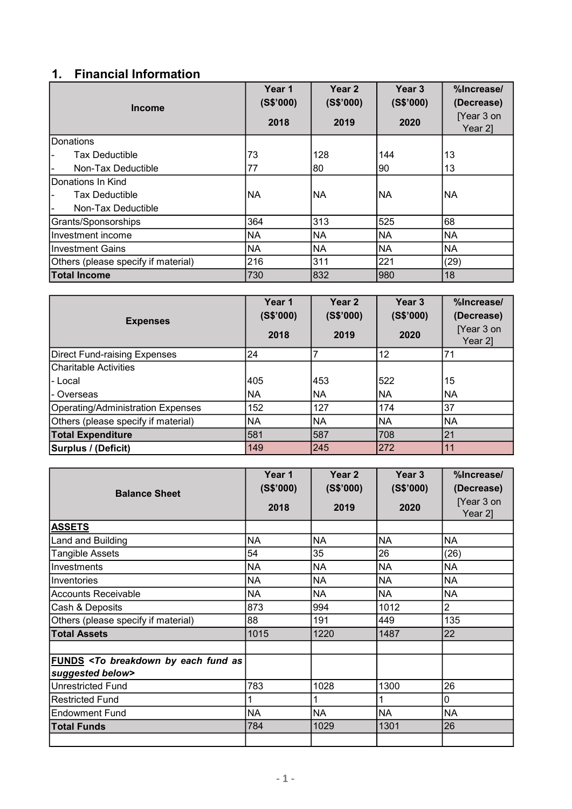## 1. Financial Information

| <b>Income</b>                       | Year 1<br>(S\$'000) | Year <sub>2</sub><br>(S\$'000) | Year <sub>3</sub><br>(S\$'000) | %Increase/<br>(Decrease) |
|-------------------------------------|---------------------|--------------------------------|--------------------------------|--------------------------|
|                                     | 2018                | 2019                           | 2020                           | [Year 3 on<br>Year 2]    |
| <b>I</b> Donations                  |                     |                                |                                |                          |
| Tax Deductible<br>ı —               | 73                  | 128                            | 144                            | 13                       |
| Non-Tax Deductible                  | 77                  | 80                             | 90                             | 13                       |
| Donations In Kind                   |                     |                                |                                |                          |
| <b>Tax Deductible</b>               | INA                 | NA                             | INA                            | <b>INA</b>               |
| Non-Tax Deductible                  |                     |                                |                                |                          |
| Grants/Sponsorships                 | 364                 | 313                            | 525                            | 68                       |
| Investment income                   | <b>NA</b>           | <b>NA</b>                      | <b>NA</b>                      | <b>NA</b>                |
| Investment Gains                    | <b>NA</b>           | <b>NA</b>                      | <b>NA</b>                      | <b>NA</b>                |
| Others (please specify if material) | 216                 | 311                            | 221                            | (29)                     |
| <b>Total Income</b>                 | 730                 | 832                            | 980                            | 18                       |

| <b>Expenses</b>                     | Year 1<br>(S\$'000)<br>2018 | Year <sub>2</sub><br>(S\$'000)<br>2019 | Year <sub>3</sub><br>(S\$'000)<br>2020 | %Increase/<br>(Decrease)<br>[Year 3 on<br>Year 2] |
|-------------------------------------|-----------------------------|----------------------------------------|----------------------------------------|---------------------------------------------------|
| Direct Fund-raising Expenses        | 24                          |                                        | 12                                     | 71                                                |
| lCharitable Activities              |                             |                                        |                                        |                                                   |
| l- Local                            | 405                         | 453                                    | 1522                                   | 15                                                |
| l- Overseas                         | NA                          | NA                                     | INA                                    | INA                                               |
| Operating/Administration Expenses   | 152                         | 127                                    | 174                                    | 37                                                |
| Others (please specify if material) | <b>NA</b>                   | <b>NA</b>                              | INA                                    | NA                                                |
| <b>Total Expenditure</b>            | 581                         | 587                                    | 708                                    | 21                                                |
| Surplus / (Deficit)                 | 149                         | 245                                    | 272                                    | 11                                                |

| <b>Balance Sheet</b>                                                                                | Year 1<br>(S\$'000) | Year 2<br>(S\$'000) | Year 3<br>(S\$'000) | %Increase/<br>(Decrease) |
|-----------------------------------------------------------------------------------------------------|---------------------|---------------------|---------------------|--------------------------|
|                                                                                                     | 2018                | 2019                | 2020                | [Year 3 on<br>Year 2]    |
| <b>ASSETS</b>                                                                                       |                     |                     |                     |                          |
| Land and Building                                                                                   | <b>NA</b>           | <b>NA</b>           | <b>NA</b>           | <b>NA</b>                |
| <b>Tangible Assets</b>                                                                              | 54                  | 35                  | 26                  | (26)                     |
| Investments                                                                                         | <b>NA</b>           | NA                  | <b>NA</b>           | <b>NA</b>                |
| Inventories                                                                                         | NA                  | NA                  | <b>NA</b>           | <b>NA</b>                |
| <b>Accounts Receivable</b>                                                                          | NA                  | NA                  | <b>NA</b>           | <b>NA</b>                |
| Cash & Deposits                                                                                     | 873                 | 994                 | 1012                | $\overline{2}$           |
| Others (please specify if material)                                                                 | 88                  | 191                 | 449                 | 135                      |
| <b>Total Assets</b>                                                                                 | 1015                | 1220                | 1487                | 22                       |
|                                                                                                     |                     |                     |                     |                          |
| FUNDS <to as<="" breakdown="" by="" each="" fund="" th=""><th></th><th></th><th></th><th></th></to> |                     |                     |                     |                          |
| suggested below>                                                                                    |                     |                     |                     |                          |
| <b>Unrestricted Fund</b>                                                                            | 783                 | 1028                | 1300                | 26                       |
| <b>Restricted Fund</b>                                                                              |                     |                     |                     | 0                        |
| <b>Endowment Fund</b>                                                                               | <b>NA</b>           | NA                  | <b>NA</b>           | <b>NA</b>                |
| <b>Total Funds</b>                                                                                  | 784                 | 1029                | 1301                | 26                       |